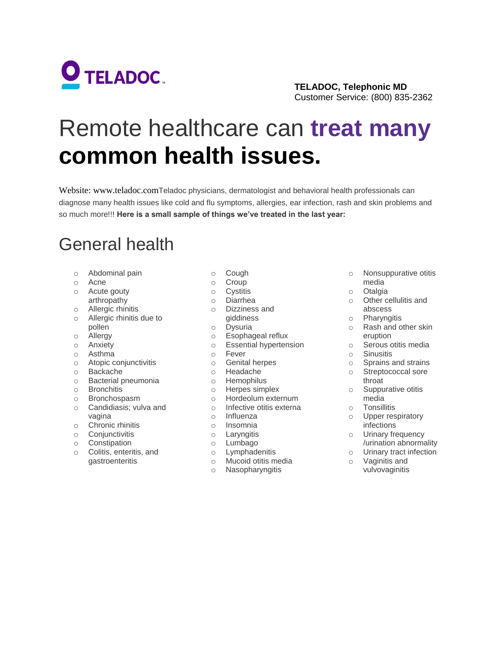

#### **TELADOC, Telephonic MD**  Customer Service: (800) 835-2362

# Remote healthcare can **treat many common health issues.**

Website: www.teladoc.comTeladoc physicians, dermatologist and behavioral health professionals can diagnose many health issues like cold and flu symptoms, allergies, ear infection, rash and skin problems and so much more!!! **Here is a small sample of things we've treated in the last year:**

## General health

- o Abdominal pain
- o Acne
- o Acute gouty
- arthropathy
- o Allergic rhinitis
- o Allergic rhinitis due to pollen
- o Allergy
- o Anxiety
- o Asthma
- o Atopic conjunctivitis
- o Backache
- o Bacterial pneumonia
- o Bronchitis
- o Bronchospasm
- o Candidiasis; vulva and vagina
- o Chronic rhinitis
- o Conjunctivitis
- o Constipation
- o Colitis, enteritis, and gastroenteritis
- o Cough
- o Croup
- o Cystitis
- o Diarrhea
- o Dizziness and giddiness
	-
- o Dysuria<br>o Esophac Esophageal reflux
	- o Essential hypertension
- o Fever
- o Genital herpes
- o Headache
- o Hemophilus
	- o Herpes simplex
	- o Hordeolum externum
	- o Infective otitis externa
	- o Influenza
	- o Insomnia
	- o Laryngitis
	- o Lumbago
		-
	- o Lymphadenitis<br>o Mucoid otitis med
	- o Mucoid otitis media<br>o Nasopharyngitis Nasopharyngitis
- o Nonsuppurative otitis media
- o Otalgia
- o Other cellulitis and abscess
- o Pharyngitis
- o Rash and other skin eruption
- o Serous otitis media
	- o Sinusitis<br>
	o Sprains a
	- Sprains and strains
- o Streptococcal sore throat
- o Suppurative otitis media
- o Tonsillitis
	- o Upper respiratory infections
- o Urinary frequency /urination abnormality
- o Urinary tract infection
	- o Vaginitis and vulvovaginitis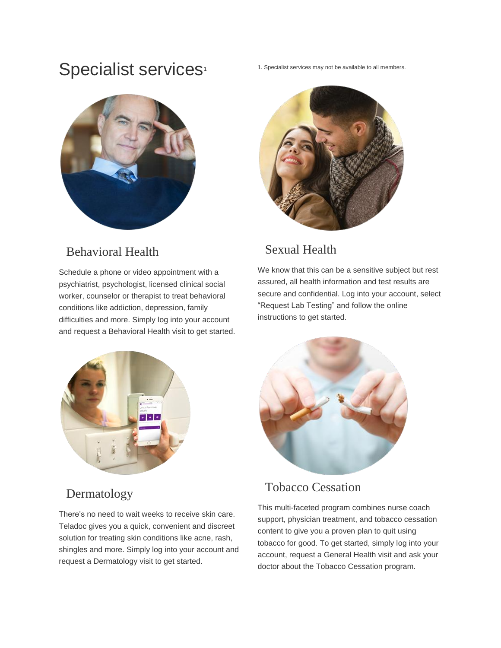## Specialist services<sup>1</sup>



### Behavioral Health

Schedule a phone or video appointment with a psychiatrist, psychologist, licensed clinical social worker, counselor or therapist to treat behavioral conditions like addiction, depression, family difficulties and more. Simply log into your account and request a Behavioral Health visit to get started. 1. Specialist services may not be available to all members.



### Sexual Health

We know that this can be a sensitive subject but rest assured, all health information and test results are secure and confidential. Log into your account, select "Request Lab Testing" and follow the online instructions to get started.



### Dermatology

There's no need to wait weeks to receive skin care. Teladoc gives you a quick, convenient and discreet solution for treating skin conditions like acne, rash, shingles and more. Simply log into your account and request a Dermatology visit to get started.



### Tobacco Cessation

This multi-faceted program combines nurse coach support, physician treatment, and tobacco cessation content to give you a proven plan to quit using tobacco for good. To get started, simply log into your account, request a General Health visit and ask your doctor about the Tobacco Cessation program.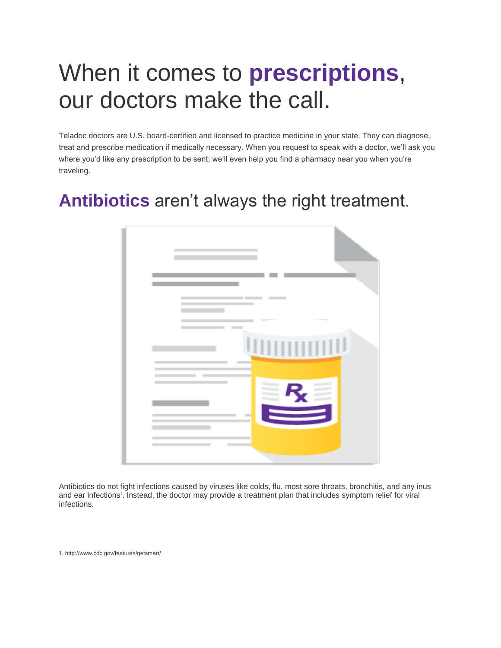# When it comes to **prescriptions**, our doctors make the call.

Teladoc doctors are U.S. board-certified and licensed to practice medicine in your state. They can diagnose, treat and prescribe medication if medically necessary. When you request to speak with a doctor, we'll ask you where you'd like any prescription to be sent; we'll even help you find a pharmacy near you when you're traveling.

## **Antibiotics** aren't always the right treatment.



Antibiotics do not fight infections caused by viruses like colds, flu, most sore throats, bronchitis, and any inus and ear infections<sup>1</sup>. Instead, the doctor may provide a treatment plan that includes symptom relief for viral infections.

1. http://www.cdc.gov/features/getsmart/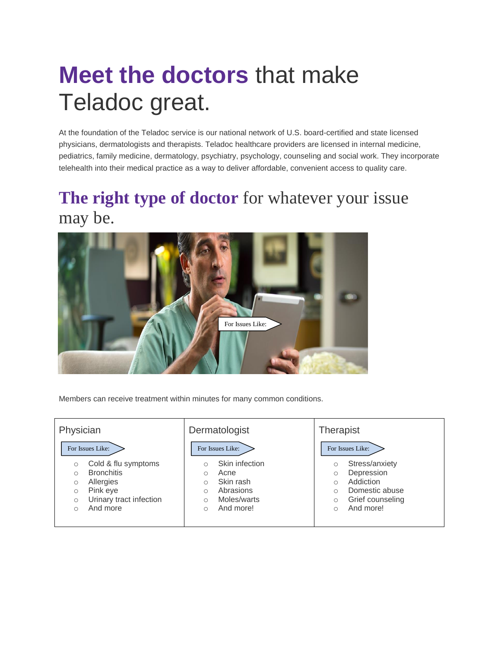# **Meet the doctors** that make Teladoc great.

At the foundation of the Teladoc service is our national network of U.S. board-certified and state licensed physicians, dermatologists and therapists. Teladoc healthcare providers are licensed in internal medicine, pediatrics, family medicine, dermatology, psychiatry, psychology, counseling and social work. They incorporate telehealth into their medical practice as a way to deliver affordable, convenient access to quality care.

## **The right type of doctor** for whatever your issue may be.



Members can receive treatment within minutes for many common conditions.

#### **Physician FOR ISSUES LIKE:** o Cold & flu symptoms o Bronchitis o Allergies o Pink eye o Urinary tract infection o And more **Dermatologist** For Issues Like:  $\sum$  **For Issues Like:** o Skin infection o Acne o Skin rash o Abrasions o Moles/warts o And more!

#### **Therapist**

#### **FOR ISSUES LIKE:** For Issues Like:

- o Stress/anxiety
- o Depression
- o Addiction
- o Domestic abuse
- o Grief counseling
- o And more!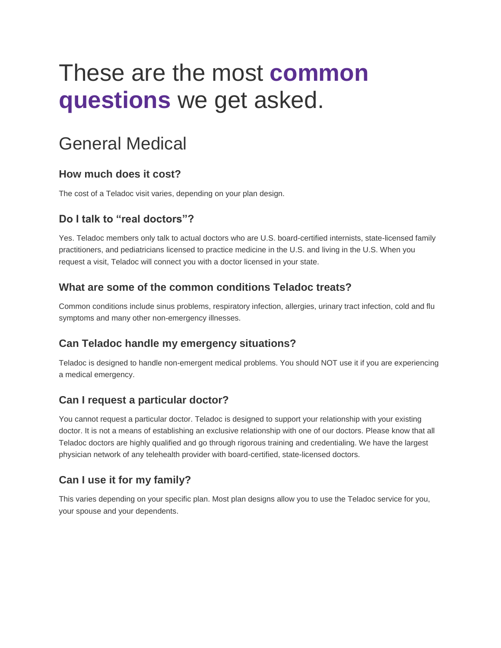# These are the most **common questions** we get asked.

## General Medical

#### **How much does it cost?**

The cost of a Teladoc visit varies, depending on your plan design.

#### **Do I talk to "real doctors"?**

Yes. Teladoc members only talk to actual doctors who are U.S. board-certified internists, state-licensed family practitioners, and pediatricians licensed to practice medicine in the U.S. and living in the U.S. When you request a visit, Teladoc will connect you with a doctor licensed in your state.

#### **What are some of the common conditions Teladoc treats?**

Common conditions include sinus problems, respiratory infection, allergies, urinary tract infection, cold and flu symptoms and many other non-emergency illnesses.

#### **Can Teladoc handle my emergency situations?**

Teladoc is designed to handle non-emergent medical problems. You should NOT use it if you are experiencing a medical emergency.

#### **Can I request a particular doctor?**

You cannot request a particular doctor. Teladoc is designed to support your relationship with your existing doctor. It is not a means of establishing an exclusive relationship with one of our doctors. Please know that all Teladoc doctors are highly qualified and go through rigorous training and credentialing. We have the largest physician network of any telehealth provider with board-certified, state-licensed doctors.

#### **Can I use it for my family?**

This varies depending on your specific plan. Most plan designs allow you to use the Teladoc service for you, your spouse and your dependents.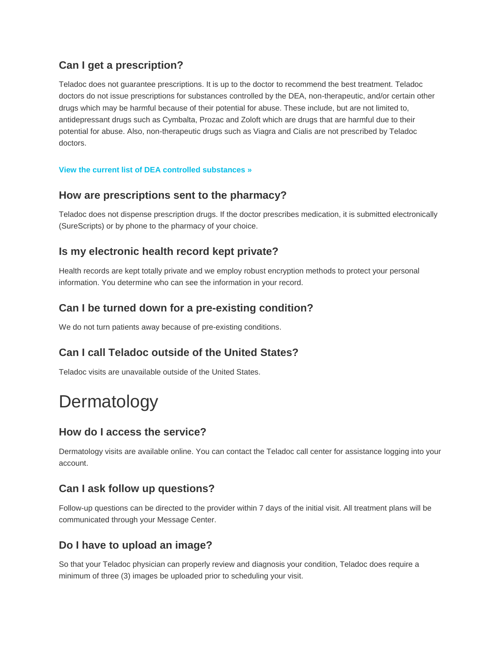#### **Can I get a prescription?**

Teladoc does not guarantee prescriptions. It is up to the doctor to recommend the best treatment. Teladoc doctors do not issue prescriptions for substances controlled by the DEA, non-therapeutic, and/or certain other drugs which may be harmful because of their potential for abuse. These include, but are not limited to, antidepressant drugs such as Cymbalta, Prozac and Zoloft which are drugs that are harmful due to their potential for abuse. Also, non-therapeutic drugs such as Viagra and Cialis are not prescribed by Teladoc doctors.

#### **[View the current list of DEA controlled substances »](http://www.deadiversion.usdoj.gov/schedules/orangebook/c_cs_alpha.pdf)**

#### **How are prescriptions sent to the pharmacy?**

Teladoc does not dispense prescription drugs. If the doctor prescribes medication, it is submitted electronically (SureScripts) or by phone to the pharmacy of your choice.

#### **Is my electronic health record kept private?**

Health records are kept totally private and we employ robust encryption methods to protect your personal information. You determine who can see the information in your record.

#### **Can I be turned down for a pre-existing condition?**

We do not turn patients away because of pre-existing conditions.

#### **Can I call Teladoc outside of the United States?**

Teladoc visits are unavailable outside of the United States.

## Dermatology

#### **How do I access the service?**

Dermatology visits are available online. You can contact the Teladoc call center for assistance logging into your account.

#### **Can I ask follow up questions?**

Follow-up questions can be directed to the provider within 7 days of the initial visit. All treatment plans will be communicated through your Message Center.

#### **Do I have to upload an image?**

So that your Teladoc physician can properly review and diagnosis your condition, Teladoc does require a minimum of three (3) images be uploaded prior to scheduling your visit.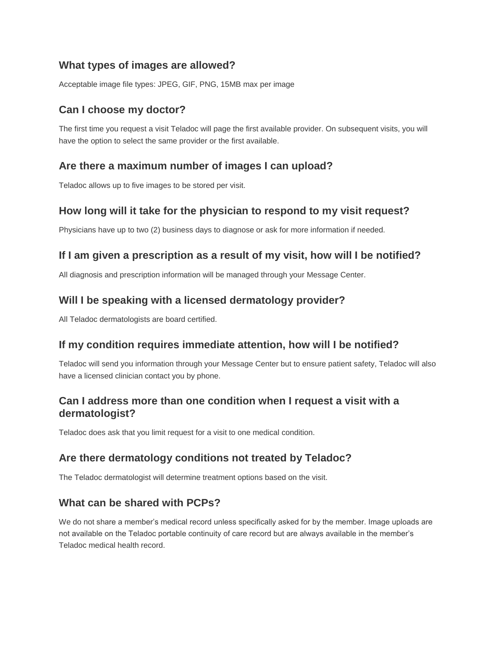#### **What types of images are allowed?**

Acceptable image file types: JPEG, GIF, PNG, 15MB max per image

#### **Can I choose my doctor?**

The first time you request a visit Teladoc will page the first available provider. On subsequent visits, you will have the option to select the same provider or the first available.

#### **Are there a maximum number of images I can upload?**

Teladoc allows up to five images to be stored per visit.

#### **How long will it take for the physician to respond to my visit request?**

Physicians have up to two (2) business days to diagnose or ask for more information if needed.

#### **If I am given a prescription as a result of my visit, how will I be notified?**

All diagnosis and prescription information will be managed through your Message Center.

#### **Will I be speaking with a licensed dermatology provider?**

All Teladoc dermatologists are board certified.

#### **If my condition requires immediate attention, how will I be notified?**

Teladoc will send you information through your Message Center but to ensure patient safety, Teladoc will also have a licensed clinician contact you by phone.

#### **Can I address more than one condition when I request a visit with a dermatologist?**

Teladoc does ask that you limit request for a visit to one medical condition.

#### **Are there dermatology conditions not treated by Teladoc?**

The Teladoc dermatologist will determine treatment options based on the visit.

#### **What can be shared with PCPs?**

We do not share a member's medical record unless specifically asked for by the member. Image uploads are not available on the Teladoc portable continuity of care record but are always available in the member's Teladoc medical health record.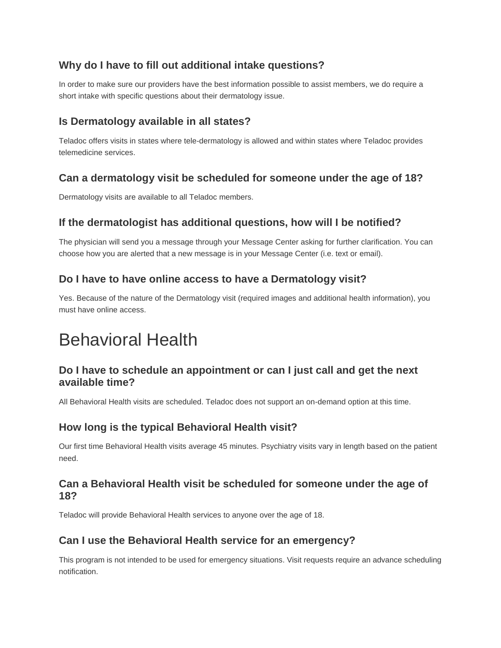#### **Why do I have to fill out additional intake questions?**

In order to make sure our providers have the best information possible to assist members, we do require a short intake with specific questions about their dermatology issue.

#### **Is Dermatology available in all states?**

Teladoc offers visits in states where tele-dermatology is allowed and within states where Teladoc provides telemedicine services.

#### **Can a dermatology visit be scheduled for someone under the age of 18?**

Dermatology visits are available to all Teladoc members.

#### **If the dermatologist has additional questions, how will I be notified?**

The physician will send you a message through your Message Center asking for further clarification. You can choose how you are alerted that a new message is in your Message Center (i.e. text or email).

#### **Do I have to have online access to have a Dermatology visit?**

Yes. Because of the nature of the Dermatology visit (required images and additional health information), you must have online access.

## Behavioral Health

#### **Do I have to schedule an appointment or can I just call and get the next available time?**

All Behavioral Health visits are scheduled. Teladoc does not support an on-demand option at this time.

#### **How long is the typical Behavioral Health visit?**

Our first time Behavioral Health visits average 45 minutes. Psychiatry visits vary in length based on the patient need.

#### **Can a Behavioral Health visit be scheduled for someone under the age of 18?**

Teladoc will provide Behavioral Health services to anyone over the age of 18.

#### **Can I use the Behavioral Health service for an emergency?**

This program is not intended to be used for emergency situations. Visit requests require an advance scheduling notification.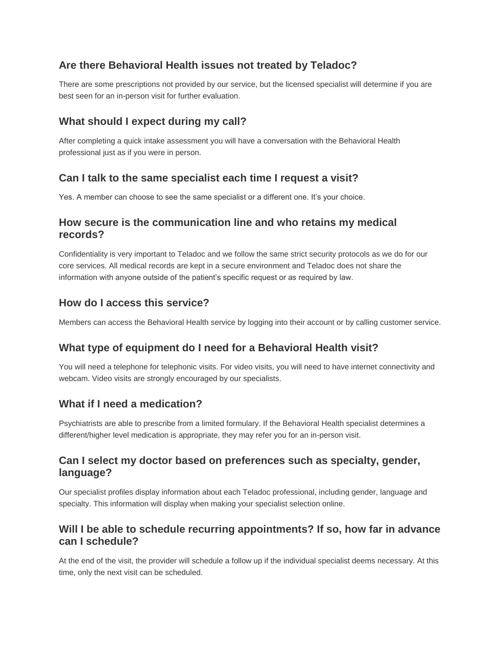#### **Are there Behavioral Health issues not treated by Teladoc?**

There are some prescriptions not provided by our service, but the licensed specialist will determine if you are best seen for an in-person visit for further evaluation.

#### **What should I expect during my call?**

After completing a quick intake assessment you will have a conversation with the Behavioral Health professional just as if you were in person.

#### **Can I talk to the same specialist each time I request a visit?**

Yes. A member can choose to see the same specialist or a different one. It's your choice.

#### **How secure is the communication line and who retains my medical records?**

Confidentiality is very important to Teladoc and we follow the same strict security protocols as we do for our core services. All medical records are kept in a secure environment and Teladoc does not share the information with anyone outside of the patient's specific request or as required by law.

#### **How do I access this service?**

Members can access the Behavioral Health service by logging into their account or by calling customer service.

#### **What type of equipment do I need for a Behavioral Health visit?**

You will need a telephone for telephonic visits. For video visits, you will need to have internet connectivity and webcam. Video visits are strongly encouraged by our specialists.

#### **What if I need a medication?**

Psychiatrists are able to prescribe from a limited formulary. If the Behavioral Health specialist determines a different/higher level medication is appropriate, they may refer you for an in-person visit.

#### **Can I select my doctor based on preferences such as specialty, gender, language?**

Our specialist profiles display information about each Teladoc professional, including gender, language and specialty. This information will display when making your specialist selection online.

#### **Will I be able to schedule recurring appointments? If so, how far in advance can I schedule?**

At the end of the visit, the provider will schedule a follow up if the individual specialist deems necessary. At this time, only the next visit can be scheduled.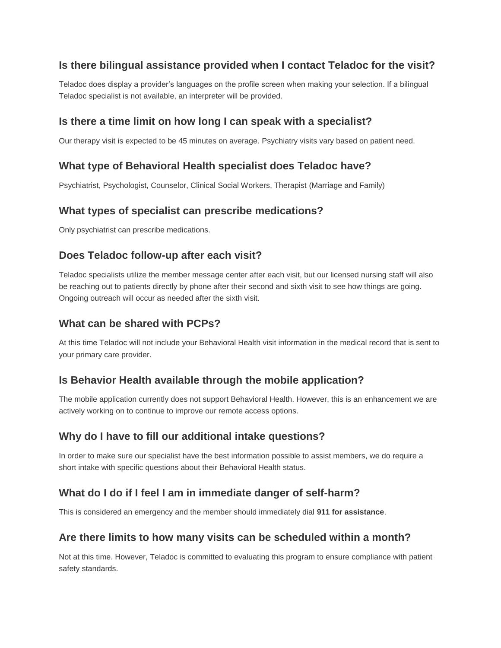#### **Is there bilingual assistance provided when I contact Teladoc for the visit?**

Teladoc does display a provider's languages on the profile screen when making your selection. If a bilingual Teladoc specialist is not available, an interpreter will be provided.

#### **Is there a time limit on how long I can speak with a specialist?**

Our therapy visit is expected to be 45 minutes on average. Psychiatry visits vary based on patient need.

#### **What type of Behavioral Health specialist does Teladoc have?**

Psychiatrist, Psychologist, Counselor, Clinical Social Workers, Therapist (Marriage and Family)

#### **What types of specialist can prescribe medications?**

Only psychiatrist can prescribe medications.

#### **Does Teladoc follow-up after each visit?**

Teladoc specialists utilize the member message center after each visit, but our licensed nursing staff will also be reaching out to patients directly by phone after their second and sixth visit to see how things are going. Ongoing outreach will occur as needed after the sixth visit.

#### **What can be shared with PCPs?**

At this time Teladoc will not include your Behavioral Health visit information in the medical record that is sent to your primary care provider.

#### **Is Behavior Health available through the mobile application?**

The mobile application currently does not support Behavioral Health. However, this is an enhancement we are actively working on to continue to improve our remote access options.

#### **Why do I have to fill our additional intake questions?**

In order to make sure our specialist have the best information possible to assist members, we do require a short intake with specific questions about their Behavioral Health status.

#### **What do I do if I feel I am in immediate danger of self-harm?**

This is considered an emergency and the member should immediately dial **911 for assistance**.

#### **Are there limits to how many visits can be scheduled within a month?**

Not at this time. However, Teladoc is committed to evaluating this program to ensure compliance with patient safety standards.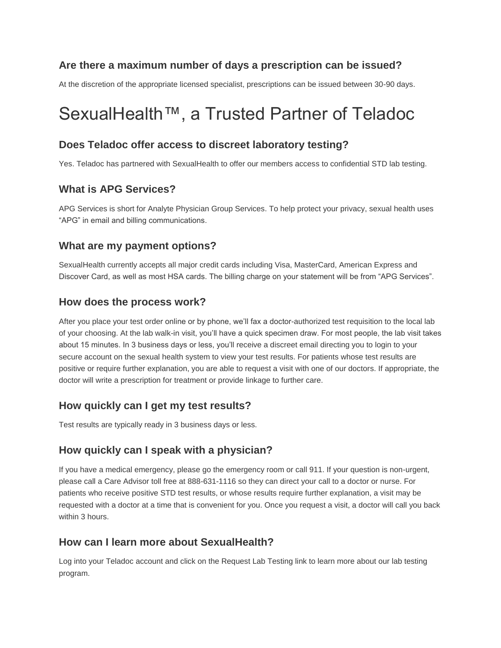#### **Are there a maximum number of days a prescription can be issued?**

At the discretion of the appropriate licensed specialist, prescriptions can be issued between 30-90 days.

## SexualHealth™, a Trusted Partner of Teladoc

#### **Does Teladoc offer access to discreet laboratory testing?**

Yes. Teladoc has partnered with SexualHealth to offer our members access to confidential STD lab testing.

#### **What is APG Services?**

APG Services is short for Analyte Physician Group Services. To help protect your privacy, sexual health uses "APG" in email and billing communications.

#### **What are my payment options?**

SexualHealth currently accepts all major credit cards including Visa, MasterCard, American Express and Discover Card, as well as most HSA cards. The billing charge on your statement will be from "APG Services".

#### **How does the process work?**

After you place your test order online or by phone, we'll fax a doctor-authorized test requisition to the local lab of your choosing. At the lab walk-in visit, you'll have a quick specimen draw. For most people, the lab visit takes about 15 minutes. In 3 business days or less, you'll receive a discreet email directing you to login to your secure account on the sexual health system to view your test results. For patients whose test results are positive or require further explanation, you are able to request a visit with one of our doctors. If appropriate, the doctor will write a prescription for treatment or provide linkage to further care.

#### **How quickly can I get my test results?**

Test results are typically ready in 3 business days or less.

#### **How quickly can I speak with a physician?**

If you have a medical emergency, please go the emergency room or call 911. If your question is non-urgent, please call a Care Advisor toll free at 888-631-1116 so they can direct your call to a doctor or nurse. For patients who receive positive STD test results, or whose results require further explanation, a visit may be requested with a doctor at a time that is convenient for you. Once you request a visit, a doctor will call you back within 3 hours.

#### **How can I learn more about SexualHealth?**

Log into your Teladoc account and click on the Request Lab Testing link to learn more about our lab testing program.